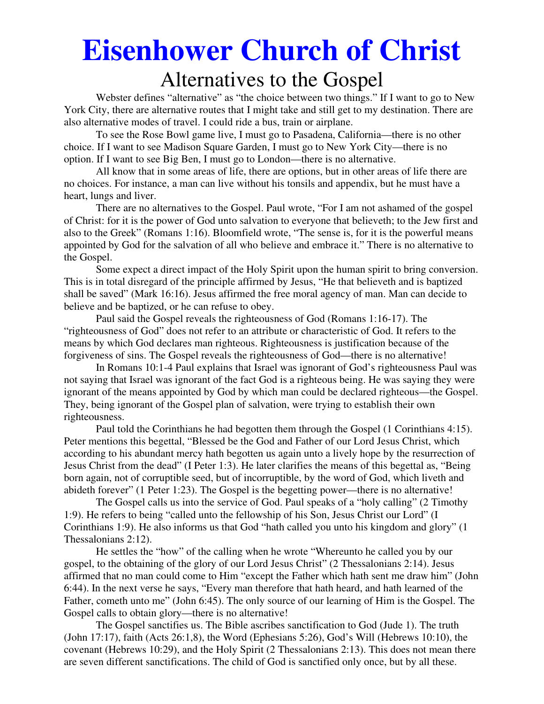# **Eisenhower Church of Christ**  Alternatives to the Gospel

 Webster defines "alternative" as "the choice between two things." If I want to go to New York City, there are alternative routes that I might take and still get to my destination. There are also alternative modes of travel. I could ride a bus, train or airplane.

 To see the Rose Bowl game live, I must go to Pasadena, California—there is no other choice. If I want to see Madison Square Garden, I must go to New York City—there is no option. If I want to see Big Ben, I must go to London—there is no alternative.

 All know that in some areas of life, there are options, but in other areas of life there are no choices. For instance, a man can live without his tonsils and appendix, but he must have a heart, lungs and liver.

 There are no alternatives to the Gospel. Paul wrote, "For I am not ashamed of the gospel of Christ: for it is the power of God unto salvation to everyone that believeth; to the Jew first and also to the Greek" (Romans 1:16). Bloomfield wrote, "The sense is, for it is the powerful means appointed by God for the salvation of all who believe and embrace it." There is no alternative to the Gospel.

 Some expect a direct impact of the Holy Spirit upon the human spirit to bring conversion. This is in total disregard of the principle affirmed by Jesus, "He that believeth and is baptized shall be saved" (Mark 16:16). Jesus affirmed the free moral agency of man. Man can decide to believe and be baptized, or he can refuse to obey.

 Paul said the Gospel reveals the righteousness of God (Romans 1:16-17). The "righteousness of God" does not refer to an attribute or characteristic of God. It refers to the means by which God declares man righteous. Righteousness is justification because of the forgiveness of sins. The Gospel reveals the righteousness of God—there is no alternative!

 In Romans 10:1-4 Paul explains that Israel was ignorant of God's righteousness Paul was not saying that Israel was ignorant of the fact God is a righteous being. He was saying they were ignorant of the means appointed by God by which man could be declared righteous—the Gospel. They, being ignorant of the Gospel plan of salvation, were trying to establish their own righteousness.

 Paul told the Corinthians he had begotten them through the Gospel (1 Corinthians 4:15). Peter mentions this begettal, "Blessed be the God and Father of our Lord Jesus Christ, which according to his abundant mercy hath begotten us again unto a lively hope by the resurrection of Jesus Christ from the dead" (I Peter 1:3). He later clarifies the means of this begettal as, "Being born again, not of corruptible seed, but of incorruptible, by the word of God, which liveth and abideth forever" (1 Peter 1:23). The Gospel is the begetting power—there is no alternative!

 The Gospel calls us into the service of God. Paul speaks of a "holy calling" (2 Timothy 1:9). He refers to being "called unto the fellowship of his Son, Jesus Christ our Lord" (I Corinthians 1:9). He also informs us that God "hath called you unto his kingdom and glory" (1 Thessalonians 2:12).

 He settles the "how" of the calling when he wrote "Whereunto he called you by our gospel, to the obtaining of the glory of our Lord Jesus Christ" (2 Thessalonians 2:14). Jesus affirmed that no man could come to Him "except the Father which hath sent me draw him" (John 6:44). In the next verse he says, "Every man therefore that hath heard, and hath learned of the Father, cometh unto me" (John 6:45). The only source of our learning of Him is the Gospel. The Gospel calls to obtain glory—there is no alternative!

 The Gospel sanctifies us. The Bible ascribes sanctification to God (Jude 1). The truth (John 17:17), faith (Acts 26:1,8), the Word (Ephesians 5:26), God's Will (Hebrews 10:10), the covenant (Hebrews 10:29), and the Holy Spirit (2 Thessalonians 2:13). This does not mean there are seven different sanctifications. The child of God is sanctified only once, but by all these.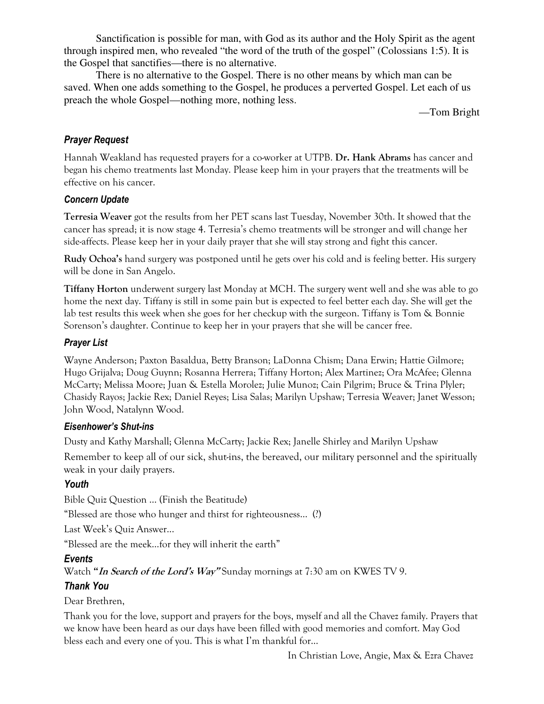Sanctification is possible for man, with God as its author and the Holy Spirit as the agent through inspired men, who revealed "the word of the truth of the gospel" (Colossians 1:5). It is the Gospel that sanctifies—there is no alternative.

 There is no alternative to the Gospel. There is no other means by which man can be saved. When one adds something to the Gospel, he produces a perverted Gospel. Let each of us preach the whole Gospel—nothing more, nothing less.

—Tom Bright

## *Prayer Request*

Hannah Weakland has requested prayers for a co-worker at UTPB. **Dr. Hank Abrams** has cancer and began his chemo treatments last Monday. Please keep him in your prayers that the treatments will be effective on his cancer.

### *Concern Update*

**Terresia Weaver** got the results from her PET scans last Tuesday, November 30th. It showed that the cancer has spread; it is now stage 4. Terresia's chemo treatments will be stronger and will change her side-affects. Please keep her in your daily prayer that she will stay strong and fight this cancer.

**Rudy Ochoa's** hand surgery was postponed until he gets over his cold and is feeling better. His surgery will be done in San Angelo.

**Tiffany Horton** underwent surgery last Monday at MCH. The surgery went well and she was able to go home the next day. Tiffany is still in some pain but is expected to feel better each day. She will get the lab test results this week when she goes for her checkup with the surgeon. Tiffany is Tom & Bonnie Sorenson's daughter. Continue to keep her in your prayers that she will be cancer free.

## *Prayer List*

Wayne Anderson; Paxton Basaldua, Betty Branson; LaDonna Chism; Dana Erwin; Hattie Gilmore; Hugo Grijalva; Doug Guynn; Rosanna Herrera; Tiffany Horton; Alex Martinez; Ora McAfee; Glenna McCarty; Melissa Moore; Juan & Estella Morolez; Julie Munoz; Cain Pilgrim; Bruce & Trina Plyler; Chasidy Rayos; Jackie Rex; Daniel Reyes; Lisa Salas; Marilyn Upshaw; Terresia Weaver; Janet Wesson; John Wood, Natalynn Wood.

### *Eisenhower's Shut-ins*

Dusty and Kathy Marshall; Glenna McCarty; Jackie Rex; Janelle Shirley and Marilyn Upshaw

Remember to keep all of our sick, shut-ins, the bereaved, our military personnel and the spiritually weak in your daily prayers.

# *Youth*

Bible Quiz Question … (Finish the Beatitude)

"Blessed are those who hunger and thirst for righteousness… (?)

Last Week's Quiz Answer...

"Blessed are the meek…for they will inherit the earth"

# *Events*

Watch **"In Search of the Lord's Way"** Sunday mornings at 7:30 am on KWES TV 9.

# *Thank You*

Dear Brethren,

Thank you for the love, support and prayers for the boys, myself and all the Chavez family. Prayers that we know have been heard as our days have been filled with good memories and comfort. May God bless each and every one of you. This is what I'm thankful for…

In Christian Love, Angie, Max & Ezra Chavez